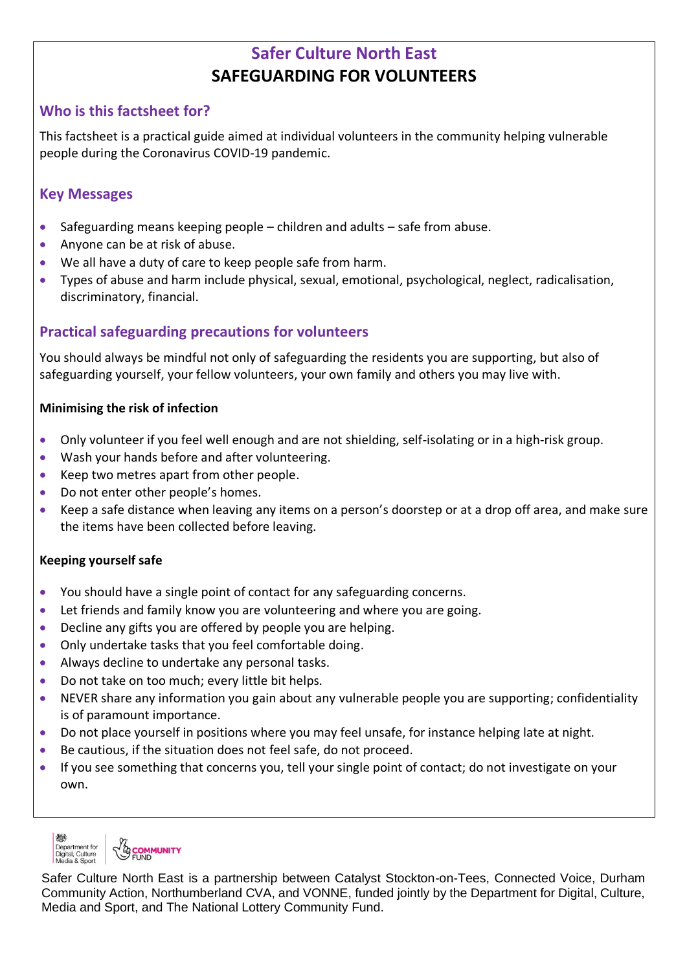# **Safer Culture North East SAFEGUARDING FOR VOLUNTEERS**

## **Who is this factsheet for?**

This factsheet is a practical guide aimed at individual volunteers in the community helping vulnerable people during the Coronavirus COVID-19 pandemic.

### **Key Messages**

- Safeguarding means keeping people children and adults safe from abuse.
- Anyone can be at risk of abuse.
- We all have a duty of care to keep people safe from harm.
- Types of abuse and harm include physical, sexual, emotional, psychological, neglect, radicalisation, discriminatory, financial.

## **Practical safeguarding precautions for volunteers**

You should always be mindful not only of safeguarding the residents you are supporting, but also of safeguarding yourself, your fellow volunteers, your own family and others you may live with.

#### **Minimising the risk of infection**

- Only volunteer if you feel well enough and are not shielding, self-isolating or in a high-risk group.
- Wash your hands before and after volunteering.
- Keep two metres apart from other people.
- Do not enter other people's homes.
- Keep a safe distance when leaving any items on a person's doorstep or at a drop off area, and make sure the items have been collected before leaving.

#### **Keeping yourself safe**

- You should have a single point of contact for any safeguarding concerns.
- Let friends and family know you are volunteering and where you are going.
- Decline any gifts you are offered by people you are helping.
- Only undertake tasks that you feel comfortable doing.
- Always decline to undertake any personal tasks.
- Do not take on too much; every little bit helps.
- NEVER share any information you gain about any vulnerable people you are supporting; confidentiality is of paramount importance.
- Do not place yourself in positions where you may feel unsafe, for instance helping late at night.
- Be cautious, if the situation does not feel safe, do not proceed.
- If you see something that concerns you, tell your single point of contact; do not investigate on your own.

**EOMMUNITY** Department for<br>Digital, Culture<br>Media & Sport

Safer Culture North East is a partnership between Catalyst Stockton-on-Tees, Connected Voice, Durham Community Action, Northumberland CVA, and VONNE, funded jointly by the Department for Digital, Culture, Media and Sport, and The National Lottery Community Fund.